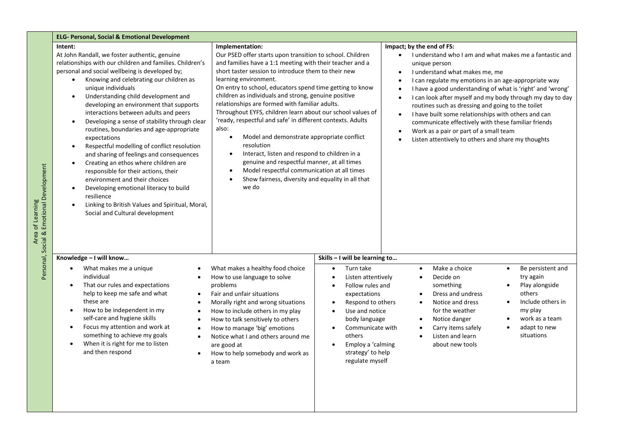| <b>ELG- Personal, Social &amp; Emotional Development</b>                                                                                                                                                                                                                                                                                                                                                                                                                                                                                                                                                                                                                                                                                                                                                                                                                                                                             |                                                                                                                                                                                                                                                                                                                                                                                                                                                                                                                                                                                                                                                                                                                                                                                                                                                                  |                                                                                                                                                                                                                                                                                                                           |                                                                                                                                                                                                                                                                                                                                                                                                                                                                                                                                                                                                                                                   |  |  |  |  |
|--------------------------------------------------------------------------------------------------------------------------------------------------------------------------------------------------------------------------------------------------------------------------------------------------------------------------------------------------------------------------------------------------------------------------------------------------------------------------------------------------------------------------------------------------------------------------------------------------------------------------------------------------------------------------------------------------------------------------------------------------------------------------------------------------------------------------------------------------------------------------------------------------------------------------------------|------------------------------------------------------------------------------------------------------------------------------------------------------------------------------------------------------------------------------------------------------------------------------------------------------------------------------------------------------------------------------------------------------------------------------------------------------------------------------------------------------------------------------------------------------------------------------------------------------------------------------------------------------------------------------------------------------------------------------------------------------------------------------------------------------------------------------------------------------------------|---------------------------------------------------------------------------------------------------------------------------------------------------------------------------------------------------------------------------------------------------------------------------------------------------------------------------|---------------------------------------------------------------------------------------------------------------------------------------------------------------------------------------------------------------------------------------------------------------------------------------------------------------------------------------------------------------------------------------------------------------------------------------------------------------------------------------------------------------------------------------------------------------------------------------------------------------------------------------------------|--|--|--|--|
| Intent:<br>At John Randall, we foster authentic, genuine<br>relationships with our children and families. Children's<br>personal and social wellbeing is developed by;<br>Knowing and celebrating our children as<br>$\bullet$<br>unique individuals<br>Understanding child development and<br>$\bullet$<br>developing an environment that supports<br>interactions between adults and peers<br>Developing a sense of stability through clear<br>$\bullet$<br>routines, boundaries and age-appropriate<br>expectations<br>Respectful modelling of conflict resolution<br>$\bullet$<br>and sharing of feelings and consequences<br>Creating an ethos where children are<br>$\bullet$<br>responsible for their actions, their<br>environment and their choices<br>Developing emotional literacy to build<br>$\bullet$<br>resilience<br>Linking to British Values and Spiritual, Moral,<br>$\bullet$<br>Social and Cultural development | Implementation:<br>Our PSED offer starts upon transition to school. Children<br>and families have a 1:1 meeting with their teacher and a<br>short taster session to introduce them to their new<br>learning environment.<br>On entry to school, educators spend time getting to know<br>children as individuals and strong, genuine positive<br>relationships are formed with familiar adults.<br>Throughout EYFS, children learn about our school values of<br>'ready, respectful and safe' in different contexts. Adults<br>also:<br>Model and demonstrate appropriate conflict<br>$\bullet$<br>resolution<br>Interact, listen and respond to children in a<br>$\bullet$<br>genuine and respectful manner, at all times<br>Model respectful communication at all times<br>$\bullet$<br>Show fairness, diversity and equality in all that<br>$\bullet$<br>we do |                                                                                                                                                                                                                                                                                                                           | Impact; by the end of FS:<br>I understand who I am and what makes me a fantastic and<br>$\bullet$<br>unique person<br>I understand what makes me, me<br>$\bullet$<br>I can regulate my emotions in an age-appropriate way<br>$\bullet$<br>I have a good understanding of what is 'right' and 'wrong'<br>$\bullet$<br>I can look after myself and my body through my day to day<br>routines such as dressing and going to the toilet<br>I have built some relationships with others and can<br>communicate effectively with these familiar friends<br>Work as a pair or part of a small team<br>Listen attentively to others and share my thoughts |  |  |  |  |
| Knowledge - I will know<br>What makes me a unique<br>individual<br>That our rules and expectations<br>help to keep me safe and what<br>$\bullet$<br>these are<br>How to be independent in my<br>$\bullet$<br>$\bullet$<br>self-care and hygiene skills<br>Focus my attention and work at<br>something to achieve my goals<br>$\bullet$<br>When it is right for me to listen<br>and then respond                                                                                                                                                                                                                                                                                                                                                                                                                                                                                                                                      | What makes a healthy food choice<br>How to use language to solve<br>problems<br>Fair and unfair situations<br>Morally right and wrong situations<br>How to include others in my play<br>How to talk sensitively to others<br>How to manage 'big' emotions<br>Notice what I and others around me<br>are good at<br>How to help somebody and work as<br>a team                                                                                                                                                                                                                                                                                                                                                                                                                                                                                                     | Skills - I will be learning to<br>Turn take<br>$\bullet$<br>Listen attentively<br>Follow rules and<br>$\bullet$<br>expectations<br>Respond to others<br>Use and notice<br>$\bullet$<br>body language<br>Communicate with<br>$\bullet$<br>others<br>Employ a 'calming<br>$\bullet$<br>strategy' to help<br>regulate myself | Make a choice<br>Be persistent and<br>$\bullet$<br>$\bullet$<br>Decide on<br>try again<br>$\bullet$<br>something<br>Play alongside<br>$\bullet$<br>others<br>Dress and undress<br>$\bullet$<br>Include others in<br>Notice and dress<br>$\bullet$<br>for the weather<br>my play<br>work as a team<br>Notice danger<br>$\bullet$<br>Carry items safely<br>adapt to new<br>$\bullet$<br>$\bullet$<br>situations<br>Listen and learn<br>$\bullet$<br>about new tools                                                                                                                                                                                 |  |  |  |  |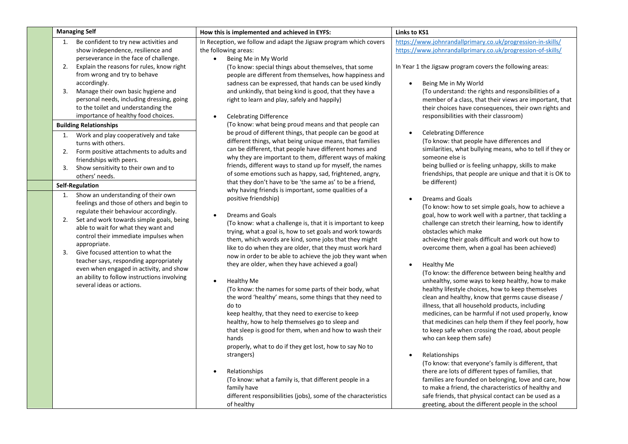| <b>Managing Self</b>                                                                                                                                                                                                                                                                                                                                                                                                                                                                          | How this is implemented and achieved in EYFS:                                                                                                                                                                                                                                                                                                                                                                                                                                                                                                                                                                                                                                                                                                                                                                                                                                                      | Links to KS1                                                                                                                                                                                                                                                                                                                                                                                                                                                                                                                                                                                                                                                                                                                                                                                                                                                                      |  |  |
|-----------------------------------------------------------------------------------------------------------------------------------------------------------------------------------------------------------------------------------------------------------------------------------------------------------------------------------------------------------------------------------------------------------------------------------------------------------------------------------------------|----------------------------------------------------------------------------------------------------------------------------------------------------------------------------------------------------------------------------------------------------------------------------------------------------------------------------------------------------------------------------------------------------------------------------------------------------------------------------------------------------------------------------------------------------------------------------------------------------------------------------------------------------------------------------------------------------------------------------------------------------------------------------------------------------------------------------------------------------------------------------------------------------|-----------------------------------------------------------------------------------------------------------------------------------------------------------------------------------------------------------------------------------------------------------------------------------------------------------------------------------------------------------------------------------------------------------------------------------------------------------------------------------------------------------------------------------------------------------------------------------------------------------------------------------------------------------------------------------------------------------------------------------------------------------------------------------------------------------------------------------------------------------------------------------|--|--|
| Be confident to try new activities and<br>1.<br>show independence, resilience and<br>perseverance in the face of challenge.<br>Explain the reasons for rules, know right<br>2.<br>from wrong and try to behave                                                                                                                                                                                                                                                                                | In Reception, we follow and adapt the Jigsaw program which covers<br>the following areas:<br>Being Me in My World<br>$\bullet$<br>(To know: special things about themselves, that some<br>people are different from themselves, how happiness and                                                                                                                                                                                                                                                                                                                                                                                                                                                                                                                                                                                                                                                  | https://www.johnrandallprimary.co.uk/progression-in-skills/<br>https://www.johnrandallprimary.co.uk/progression-of-skills/<br>In Year 1 the Jigsaw program covers the following areas:<br>Being Me in My World<br>$\bullet$<br>(To understand: the rights and responsibilities of a<br>member of a class, that their views are important, that<br>their choices have consequences, their own rights and<br>responsibilities with their classroom)                                                                                                                                                                                                                                                                                                                                                                                                                                 |  |  |
| accordingly.<br>Manage their own basic hygiene and<br>3.<br>personal needs, including dressing, going<br>to the toilet and understanding the<br>importance of healthy food choices.                                                                                                                                                                                                                                                                                                           | sadness can be expressed, that hands can be used kindly<br>and unkindly, that being kind is good, that they have a<br>right to learn and play, safely and happily)<br><b>Celebrating Difference</b><br>$\bullet$                                                                                                                                                                                                                                                                                                                                                                                                                                                                                                                                                                                                                                                                                   |                                                                                                                                                                                                                                                                                                                                                                                                                                                                                                                                                                                                                                                                                                                                                                                                                                                                                   |  |  |
| <b>Building Relationships</b><br>Work and play cooperatively and take<br>1.<br>turns with others.<br>Form positive attachments to adults and<br>2.<br>friendships with peers.<br>Show sensitivity to their own and to<br>3.<br>others' needs.                                                                                                                                                                                                                                                 | (To know: what being proud means and that people can<br>be proud of different things, that people can be good at<br>different things, what being unique means, that families<br>can be different, that people have different homes and<br>why they are important to them, different ways of making<br>friends, different ways to stand up for myself, the names<br>of some emotions such as happy, sad, frightened, angry,                                                                                                                                                                                                                                                                                                                                                                                                                                                                         | <b>Celebrating Difference</b><br>(To know: that people have differences and<br>similarities, what bullying means, who to tell if they or<br>someone else is<br>being bullied or is feeling unhappy, skills to make<br>friendships, that people are unique and that it is OK to                                                                                                                                                                                                                                                                                                                                                                                                                                                                                                                                                                                                    |  |  |
| <b>Self-Regulation</b>                                                                                                                                                                                                                                                                                                                                                                                                                                                                        | that they don't have to be 'the same as' to be a friend,                                                                                                                                                                                                                                                                                                                                                                                                                                                                                                                                                                                                                                                                                                                                                                                                                                           | be different)                                                                                                                                                                                                                                                                                                                                                                                                                                                                                                                                                                                                                                                                                                                                                                                                                                                                     |  |  |
| Show an understanding of their own<br>1.<br>feelings and those of others and begin to<br>regulate their behaviour accordingly.<br>Set and work towards simple goals, being<br>2.<br>able to wait for what they want and<br>control their immediate impulses when<br>appropriate.<br>Give focused attention to what the<br>3.<br>teacher says, responding appropriately<br>even when engaged in activity, and show<br>an ability to follow instructions involving<br>several ideas or actions. | why having friends is important, some qualities of a<br>positive friendship)<br><b>Dreams and Goals</b><br>$\bullet$<br>(To know: what a challenge is, that it is important to keep<br>trying, what a goal is, how to set goals and work towards<br>them, which words are kind, some jobs that they might<br>like to do when they are older, that they must work hard<br>now in order to be able to achieve the job they want when<br>they are older, when they have achieved a goal)<br>Healthy Me<br>$\bullet$<br>(To know: the names for some parts of their body, what<br>the word 'healthy' means, some things that they need to<br>do to<br>keep healthy, that they need to exercise to keep<br>healthy, how to help themselves go to sleep and<br>that sleep is good for them, when and how to wash their<br>hands<br>properly, what to do if they get lost, how to say No to<br>strangers) | <b>Dreams and Goals</b><br>$\bullet$<br>(To know: how to set simple goals, how to achieve a<br>goal, how to work well with a partner, that tackling a<br>challenge can stretch their learning, how to identify<br>obstacles which make<br>achieving their goals difficult and work out how to<br>overcome them, when a goal has been achieved)<br>Healthy Me<br>$\bullet$<br>(To know: the difference between being healthy and<br>unhealthy, some ways to keep healthy, how to make<br>healthy lifestyle choices, how to keep themselves<br>clean and healthy, know that germs cause disease /<br>illness, that all household products, including<br>medicines, can be harmful if not used properly, know<br>that medicines can help them if they feel poorly, how<br>to keep safe when crossing the road, about people<br>who can keep them safe)<br>Relationships<br>$\bullet$ |  |  |
|                                                                                                                                                                                                                                                                                                                                                                                                                                                                                               | Relationships<br>(To know: what a family is, that different people in a<br>family have<br>different responsibilities (jobs), some of the characteristics<br>of healthy                                                                                                                                                                                                                                                                                                                                                                                                                                                                                                                                                                                                                                                                                                                             | (To know: that everyone's family is different, that<br>there are lots of different types of families, that<br>families are founded on belonging, love and care, how<br>to make a friend, the characteristics of healthy and<br>safe friends, that physical contact can be used as a<br>greeting, about the different people in the school                                                                                                                                                                                                                                                                                                                                                                                                                                                                                                                                         |  |  |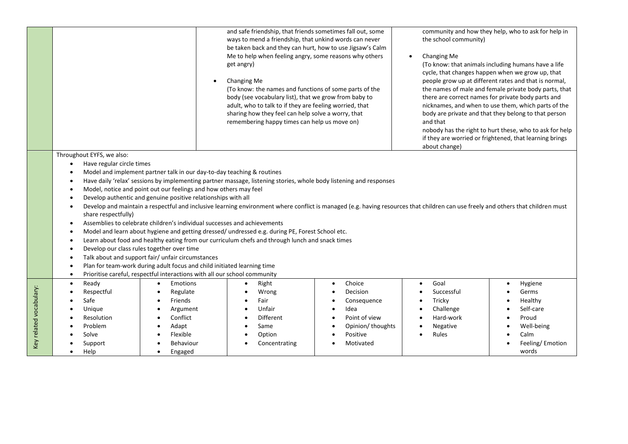|                         |                                                                                                                                                                                                                                                                                                                                                                                                                                                                                                                                                                                                                                                                                                                                                                                                                                                                                                                                                                                                                                                                                                                                                                                                                       | $\bullet$                                                                                                                                                                                             | and safe friendship, that friends sometimes fall out, some<br>ways to mend a friendship, that unkind words can never<br>be taken back and they can hurt, how to use Jigsaw's Calm<br>Me to help when feeling angry, some reasons why others<br>get angry)<br>Changing Me<br>(To know: the names and functions of some parts of the<br>body (see vocabulary list), that we grow from baby to<br>adult, who to talk to if they are feeling worried, that<br>sharing how they feel can help solve a worry, that<br>remembering happy times can help us move on) |                                                                                                                                                              | community and how they help, who to ask for help in<br>the school community)<br>Changing Me<br>(To know: that animals including humans have a life<br>cycle, that changes happen when we grow up, that<br>people grow up at different rates and that is normal,<br>the names of male and female private body parts, that<br>there are correct names for private body parts and<br>nicknames, and when to use them, which parts of the<br>body are private and that they belong to that person<br>and that<br>nobody has the right to hurt these, who to ask for help<br>if they are worried or frightened, that learning brings<br>about change) |                                                                                                     |  |
|-------------------------|-----------------------------------------------------------------------------------------------------------------------------------------------------------------------------------------------------------------------------------------------------------------------------------------------------------------------------------------------------------------------------------------------------------------------------------------------------------------------------------------------------------------------------------------------------------------------------------------------------------------------------------------------------------------------------------------------------------------------------------------------------------------------------------------------------------------------------------------------------------------------------------------------------------------------------------------------------------------------------------------------------------------------------------------------------------------------------------------------------------------------------------------------------------------------------------------------------------------------|-------------------------------------------------------------------------------------------------------------------------------------------------------------------------------------------------------|--------------------------------------------------------------------------------------------------------------------------------------------------------------------------------------------------------------------------------------------------------------------------------------------------------------------------------------------------------------------------------------------------------------------------------------------------------------------------------------------------------------------------------------------------------------|--------------------------------------------------------------------------------------------------------------------------------------------------------------|--------------------------------------------------------------------------------------------------------------------------------------------------------------------------------------------------------------------------------------------------------------------------------------------------------------------------------------------------------------------------------------------------------------------------------------------------------------------------------------------------------------------------------------------------------------------------------------------------------------------------------------------------|-----------------------------------------------------------------------------------------------------|--|
|                         | Throughout EYFS, we also:<br>Have regular circle times<br>$\bullet$<br>Model and implement partner talk in our day-to-day teaching & routines<br>$\bullet$<br>Have daily 'relax' sessions by implementing partner massage, listening stories, whole body listening and responses<br>$\bullet$<br>Model, notice and point out our feelings and how others may feel<br>$\bullet$<br>Develop authentic and genuine positive relationships with all<br>$\bullet$<br>Develop and maintain a respectful and inclusive learning environment where conflict is managed (e.g. having resources that children can use freely and others that children must<br>share respectfully)<br>Assemblies to celebrate children's individual successes and achievements<br>$\bullet$<br>Model and learn about hygiene and getting dressed/ undressed e.g. during PE, Forest School etc.<br>$\bullet$<br>Learn about food and healthy eating from our curriculum chefs and through lunch and snack times<br>$\bullet$<br>Develop our class rules together over time<br>$\bullet$<br>Talk about and support fair/ unfair circumstances<br>$\bullet$<br>Plan for team-work during adult focus and child initiated learning time<br>$\bullet$ |                                                                                                                                                                                                       |                                                                                                                                                                                                                                                                                                                                                                                                                                                                                                                                                              |                                                                                                                                                              |                                                                                                                                                                                                                                                                                                                                                                                                                                                                                                                                                                                                                                                  |                                                                                                     |  |
| Key related vocabulary: | $\bullet$<br>Ready<br>$\bullet$<br>Respectful<br>Safe<br>Unique<br>Resolution<br>Problem<br>Solve<br>Support<br>Help                                                                                                                                                                                                                                                                                                                                                                                                                                                                                                                                                                                                                                                                                                                                                                                                                                                                                                                                                                                                                                                                                                  | Prioritise careful, respectful interactions with all our school community<br><b>Emotions</b><br>$\bullet$<br>Regulate<br>Friends<br>Argument<br>Conflict<br>Adapt<br>Flexible<br>Behaviour<br>Engaged | Right<br>Wrong<br>Fair<br>Unfair<br><b>Different</b><br>Same<br>Option<br>Concentrating                                                                                                                                                                                                                                                                                                                                                                                                                                                                      | Choice<br>$\bullet$<br>Decision<br>$\bullet$<br>Consequence<br>Idea<br>$\bullet$<br>Point of view<br>$\bullet$<br>Opinion/ thoughts<br>Positive<br>Motivated | Goal<br>$\bullet$<br>Successful<br>Tricky<br>$\bullet$<br>Challenge<br>$\bullet$<br>Hard-work<br>Negative<br>Rules                                                                                                                                                                                                                                                                                                                                                                                                                                                                                                                               | Hygiene<br>Germs<br>Healthy<br>Self-care<br>Proud<br>Well-being<br>Calm<br>Feeling/Emotion<br>words |  |